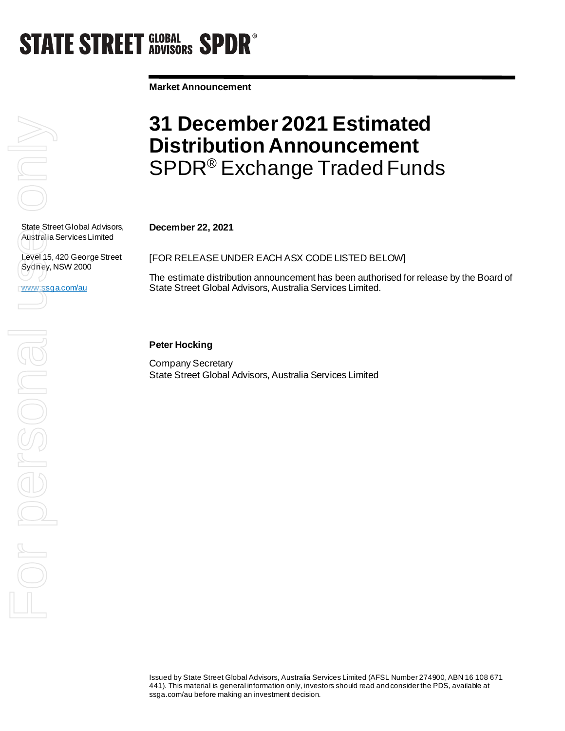# **STATE STREET GLOBAL SPDR<sup>®</sup>**

**Market Announcement**

State Street Global Advisors, Australia Services Limited

Level 15, 420 George Street Sydney, NSW 2000

www.ssga.com/au

### **31 December 2021 Estimated Distribution Announcement**  SPDR® Exchange Traded Funds

**December 22, 2021**

[FOR RELEASE UNDER EACH ASX CODE LISTED BELOW]

The estimate distribution announcement has been authorised for release by the Board of State Street Global Advisors, Australia Services Limited.

### **Peter Hocking**

Company Secretary State Street Global Advisors, Australia Services Limited

State Street Globa<br>Australia Services<br>Level 15, 420 Geo<br>WWW.Ssga.com/au<br>Comparison Comparison For persona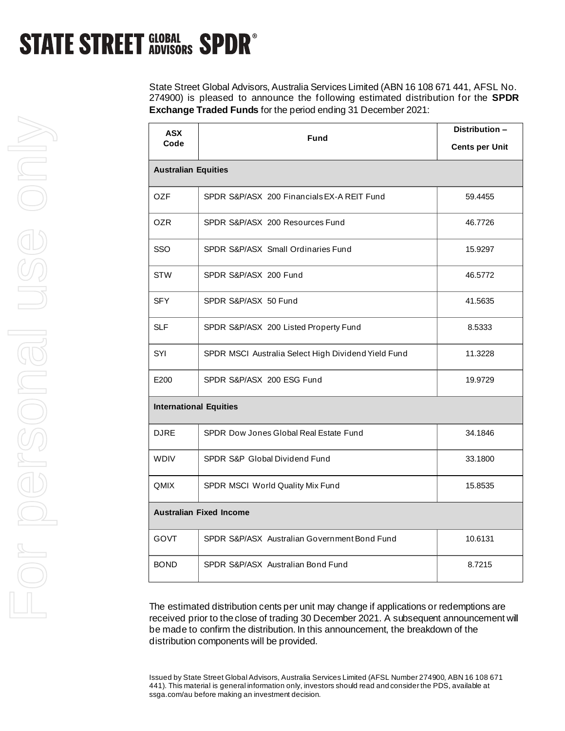### **STATE STREET GLOBAL SPDR<sup>®</sup>**

State Street Global Advisors, Australia Services Limited (ABN 16 108 671 441, AFSL No. 274900) is pleased to announce the following estimated distribution for the **SPDR Exchange Traded Funds** for the period ending 31 December 2021:

| <b>ASX</b><br>Code             | <b>Fund</b>                                         | Distribution -<br><b>Cents per Unit</b> |  |
|--------------------------------|-----------------------------------------------------|-----------------------------------------|--|
| <b>Australian Equities</b>     |                                                     |                                         |  |
| 0ZF                            | SPDR S&P/ASX 200 Financials EX-A REIT Fund          | 59.4455                                 |  |
| <b>OZR</b>                     | SPDR S&P/ASX 200 Resources Fund                     | 46.7726                                 |  |
| <b>SSO</b>                     | SPDR S&P/ASX Small Ordinaries Fund                  | 15.9297                                 |  |
| <b>STW</b>                     | SPDR S&P/ASX 200 Fund                               | 46.5772                                 |  |
| <b>SFY</b>                     | SPDR S&P/ASX 50 Fund                                | 41.5635                                 |  |
| <b>SLF</b>                     | SPDR S&P/ASX 200 Listed Property Fund               | 8.5333                                  |  |
| SYI                            | SPDR MSCI Australia Select High Dividend Yield Fund | 11.3228                                 |  |
| E200                           | SPDR S&P/ASX 200 ESG Fund                           | 19.9729                                 |  |
| <b>International Equities</b>  |                                                     |                                         |  |
| <b>DJRE</b>                    | SPDR Dow Jones Global Real Estate Fund              | 34.1846                                 |  |
| <b>WDIV</b>                    | SPDR S&P Global Dividend Fund                       | 33.1800                                 |  |
| <b>QMIX</b>                    | SPDR MSCI World Quality Mix Fund                    | 15.8535                                 |  |
| <b>Australian Fixed Income</b> |                                                     |                                         |  |
| <b>GOVT</b>                    | SPDR S&P/ASX Australian Government Bond Fund        | 10.6131                                 |  |
| <b>BOND</b>                    | SPDR S&P/ASX Australian Bond Fund                   | 8.7215                                  |  |

The estimated distribution cents per unit may change if applications or redemptions are received prior to the close of trading 30 December 2021. A subsequent announcement will be made to confirm the distribution. In this announcement, the breakdown of the distribution components will be provided.

Issued by State Street Global Advisors, Australia Services Limited (AFSL Number 274900, ABN 16 108 671 441). This material is general information only, investors should read and consider the PDS, available at ssga.com/au before making an investment decision.